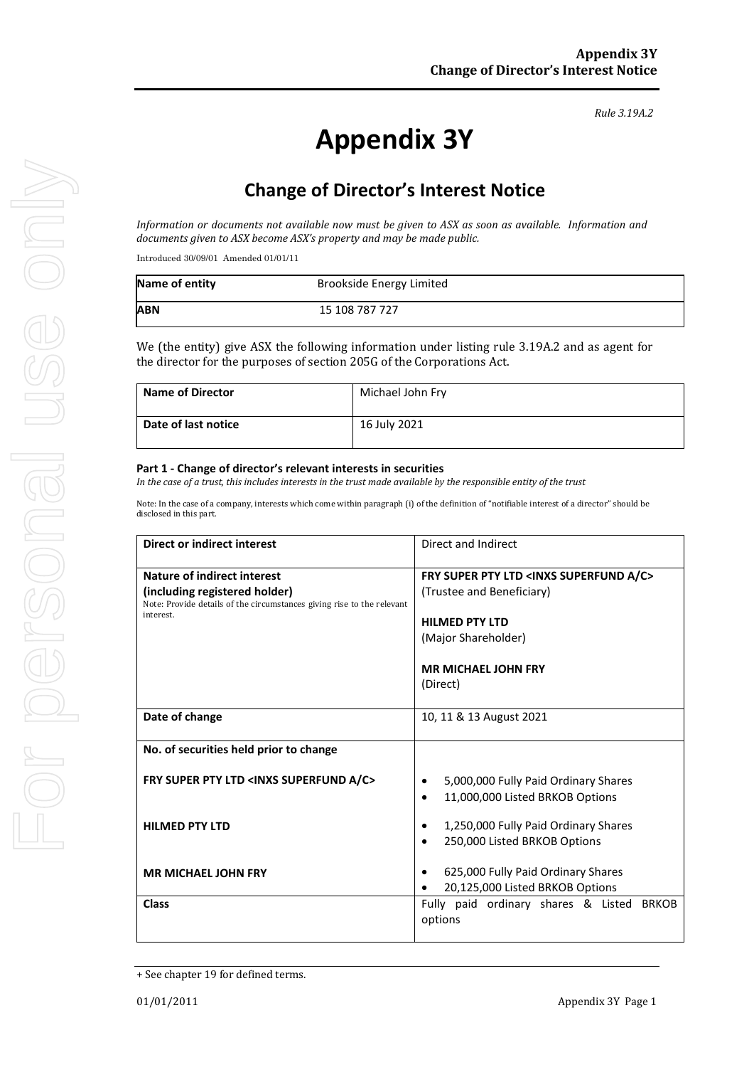# **Appendix 3Y**

# **Change of Director's Interest Notice**

*Information or documents not available now must be given to ASX as soon as available. Information and documents given to ASX become ASX's property and may be made public.*

Introduced 30/09/01 Amended 01/01/11

| Name of entity | <b>Brookside Energy Limited</b> |
|----------------|---------------------------------|
| ABN            | 15 108 787 727                  |

We (the entity) give ASX the following information under listing rule 3.19A.2 and as agent for the director for the purposes of section 205G of the Corporations Act.

| <b>Name of Director</b> | Michael John Fry |
|-------------------------|------------------|
| Date of last notice     | 16 July 2021     |

#### **Part 1 - Change of director's relevant interests in securities**

*In the case of a trust, this includes interests in the trust made available by the responsible entity of the trust*

Note: In the case of a company, interests which come within paragraph (i) of the definition of "notifiable interest of a director" should be disclosed in this part.

| Direct or indirect interest                                                                                                                         | Direct and Indirect                                                                                                                                                                |  |
|-----------------------------------------------------------------------------------------------------------------------------------------------------|------------------------------------------------------------------------------------------------------------------------------------------------------------------------------------|--|
| Nature of indirect interest<br>(including registered holder)<br>Note: Provide details of the circumstances giving rise to the relevant<br>interest. | FRY SUPER PTY LTD <inxs a="" c="" superfund=""><br/>(Trustee and Beneficiary)<br/><b>HILMED PTY LTD</b><br/>(Major Shareholder)<br/><b>MR MICHAEL JOHN FRY</b><br/>(Direct)</inxs> |  |
| Date of change                                                                                                                                      | 10, 11 & 13 August 2021                                                                                                                                                            |  |
| No. of securities held prior to change                                                                                                              |                                                                                                                                                                                    |  |
| FRY SUPER PTY LTD <inxs a="" c="" superfund=""></inxs>                                                                                              | 5,000,000 Fully Paid Ordinary Shares<br>11,000,000 Listed BRKOB Options<br>$\bullet$                                                                                               |  |
| <b>HILMED PTY LTD</b>                                                                                                                               | 1,250,000 Fully Paid Ordinary Shares<br>250,000 Listed BRKOB Options                                                                                                               |  |
| <b>MR MICHAEL JOHN FRY</b>                                                                                                                          | 625,000 Fully Paid Ordinary Shares<br>20,125,000 Listed BRKOB Options                                                                                                              |  |
| <b>Class</b>                                                                                                                                        | Fully paid ordinary shares & Listed<br><b>BRKOB</b><br>options                                                                                                                     |  |

<sup>+</sup> See chapter 19 for defined terms.

*Rule 3.19A.2*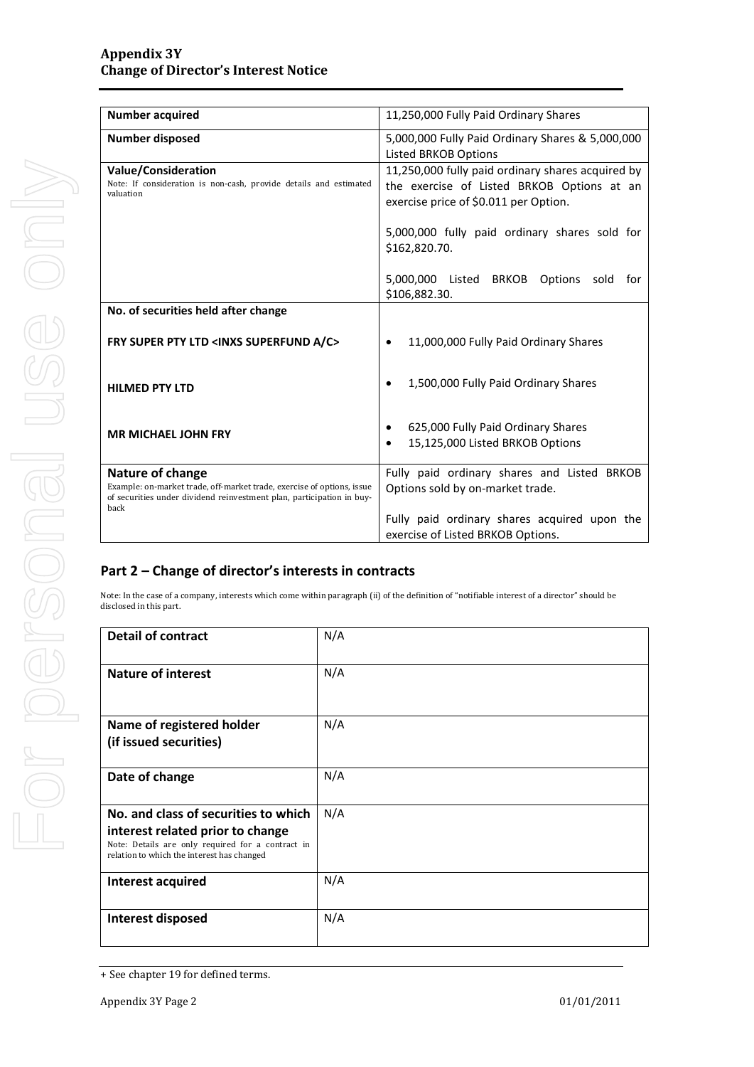| <b>Number acquired</b>                                                                                                                                                      | 11,250,000 Fully Paid Ordinary Shares                                                                                                    |  |
|-----------------------------------------------------------------------------------------------------------------------------------------------------------------------------|------------------------------------------------------------------------------------------------------------------------------------------|--|
| <b>Number disposed</b>                                                                                                                                                      | 5,000,000 Fully Paid Ordinary Shares & 5,000,000<br>Listed BRKOB Options                                                                 |  |
| <b>Value/Consideration</b><br>Note: If consideration is non-cash, provide details and estimated<br>valuation                                                                | 11,250,000 fully paid ordinary shares acquired by<br>the exercise of Listed BRKOB Options at an<br>exercise price of \$0.011 per Option. |  |
|                                                                                                                                                                             | 5,000,000 fully paid ordinary shares sold for<br>\$162,820.70.                                                                           |  |
|                                                                                                                                                                             | 5,000,000 Listed BRKOB<br>Options<br>sold<br>for<br>\$106,882.30.                                                                        |  |
| No. of securities held after change                                                                                                                                         |                                                                                                                                          |  |
| FRY SUPER PTY LTD <inxs a="" c="" superfund=""></inxs>                                                                                                                      | 11,000,000 Fully Paid Ordinary Shares                                                                                                    |  |
| <b>HILMED PTY LTD</b>                                                                                                                                                       | 1,500,000 Fully Paid Ordinary Shares                                                                                                     |  |
| <b>MR MICHAEL JOHN FRY</b>                                                                                                                                                  | 625,000 Fully Paid Ordinary Shares<br>15,125,000 Listed BRKOB Options<br>$\bullet$                                                       |  |
| Nature of change<br>Example: on-market trade, off-market trade, exercise of options, issue<br>of securities under dividend reinvestment plan, participation in buy-<br>back | Fully paid ordinary shares and Listed BRKOB<br>Options sold by on-market trade.                                                          |  |
|                                                                                                                                                                             | Fully paid ordinary shares acquired upon the<br>exercise of Listed BRKOB Options.                                                        |  |

### **Part 2 – Change of director's interests in contracts**

Note: In the case of a company, interests which come within paragraph (ii) of the definition of "notifiable interest of a director" should be disclosed in this part.

| <b>Detail of contract</b>                                                                                                                                                   | N/A |
|-----------------------------------------------------------------------------------------------------------------------------------------------------------------------------|-----|
| <b>Nature of interest</b>                                                                                                                                                   | N/A |
| Name of registered holder<br>(if issued securities)                                                                                                                         | N/A |
| Date of change                                                                                                                                                              | N/A |
| No. and class of securities to which<br>interest related prior to change<br>Note: Details are only required for a contract in<br>relation to which the interest has changed | N/A |
| Interest acquired                                                                                                                                                           | N/A |
| Interest disposed                                                                                                                                                           | N/A |

<sup>+</sup> See chapter 19 for defined terms.